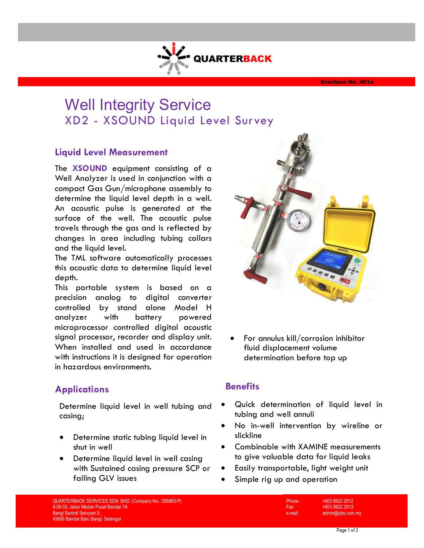# Well Integrity Service

**QUARTERBACK** 

XD2 - XSOUND Liquid Level Survey

### **Liquid Level Measurement**

The **XSOUND** equipment consisting of a Well Analyzer is used in conjunction with a compact Gas Gun/microphone assembly to determine the liquid level depth in a well. An acoustic pulse is generated at the surface of the well. The acoustic pulse travels through the gas and is reflected by changes in area including tubing collars and the liquid level.

The TML software automatically processes this acoustic data to determine liquid level depth.

This portable system is based on a precision analog to digital converter controlled by stand alone Model H analyzer with battery powered microprocessor controlled digital acoustic signal processor, recorder and display unit. When installed and used in accordance with instructions it is designed for operation in hazardous environments.



Determine liquid level in well tubing and casing;

- Determine static tubing liquid level in shut in well
- Determine liquid level in well casing with Sustained casing pressure SCP or failing GLV issues



 For annulus kill/corrosion inhibitor fluid displacement volume determination before top up

### **Benefits**

- Quick determination of liquid level in tubing and well annuli
- No in-well intervention by wireline or slickline
- Combinable with XAMINE measurements to give valuable data for liquid leaks
- Easily transportable, light weight unit
- Simple rig up and operation